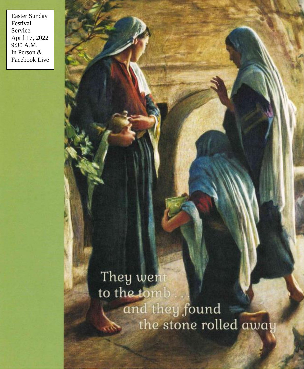Easter Sunday Festival Service April 17, 2022 9:30 A.M. In Person & Facebook Live

> They went to the tomb and they found the stone rolled away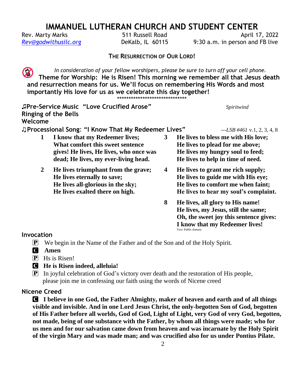# **IMMANUEL LUTHERAN CHURCH AND STUDENT CENTER**

Rev. Marty Marks 511 Russell Road April 17, 2022 *[Rev@godwithusilc.org](mailto:Rev@godwithusilc.org)* DeKalb, IL 60115 9:30 a.m. in person and FB live

**THE RESURRECTION OF OUR LORD!**

*In consideration of your fellow worshipers, please be sure to turn off your cell phone.* **Theme for Worship: He is Risen! This morning we remember all that Jesus death and resurrection means for us. We'll focus on remembering His Words and most importantly His love for us as we celebrate this day together!**  \*\*\*\*\*\*\*\*\*\*\*\*\*\*\*\*\*\*\*\*\*\*\*\*\*\*\*\*\*\*

| Welcome | "IPre-Service Music "Love Crucified Arose"<br><b>Ringing of the Bells</b>                                                                             |   | Spiritwind                                                                                                                                             |
|---------|-------------------------------------------------------------------------------------------------------------------------------------------------------|---|--------------------------------------------------------------------------------------------------------------------------------------------------------|
|         | J Processional Song: "I Know That My Redeemer Lives"                                                                                                  |   | $-LSB \#461$ v.1, 2, 3, 4, 8                                                                                                                           |
| 1       | I know that my Redeemer lives;<br>What comfort this sweet sentence<br>gives! He lives, He lives, who once was<br>dead; He lives, my ever-living head. | 3 | He lives to bless me with His love;<br>He lives to plead for me above;<br>He lives my hungry soul to feed;<br>He lives to help in time of need.        |
| 2       | He lives triumphant from the grave;<br>He lives eternally to save;<br>He lives all-glorious in the sky;<br>He lives exalted there on high.            | 4 | He lives to grant me rich supply;<br>He lives to guide me with His eye;<br>He lives to comfort me when faint;<br>He lives to hear my soul's complaint. |
|         |                                                                                                                                                       | 8 | He lives, all glory to His name!<br>He lives, my Jesus, still the same;                                                                                |

#### **I know that my Redeemer lives!** Text: Public domain

**Oh, the sweet joy this sentence gives:**

#### **Invocation**

 $\mathbf{P}$  We begin in the Name of the Father and of the Son and of the Holy Spirit.

- C **Amen**
- $\mathbf{P}$  Hs is Risen!
- C **He is Risen indeed, alleluia!**
- P In joyful celebration of God's victory over death and the restoration of His people, please join me in confessing our faith using the words of Nicene creed

#### **Nicene Creed**

C **I believe in one God, the Father Almighty, maker of heaven and earth and of all things visible and invisible. And in one Lord Jesus Christ, the only-begotten Son of God, begotten of His Father before all worlds, God of God, Light of Light, very God of very God, begotten, not made, being of one substance with the Father, by whom all things were made; who for us men and for our salvation came down from heaven and was incarnate by the Holy Spirit of the virgin Mary and was made man; and was crucified also for us under Pontius Pilate.**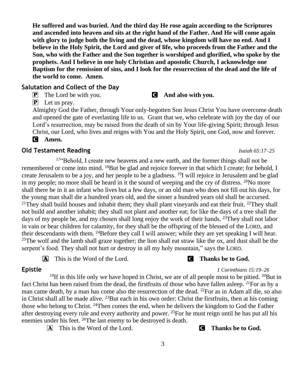3

**He suffered and was buried. And the third day He rose again according to the Scriptures and ascended into heaven and sits at the right hand of the Father. And He will come again with glory to judge both the living and the dead, whose kingdom will have no end. And I believe in the Holy Spirit, the Lord and giver of life, who proceeds from the Father and the Son, who with the Father and the Son together is worshiped and glorified, who spoke by the prophets. And I believe in one holy Christian and apostolic Church, I acknowledge one Baptism for the remission of sins, and I look for the resurrection of the dead and the life of the world to come. Amen.**

## **Salutation and Collect of the Day**

**P** The Lord be with you. **C** And also with you.

 $\left[ \mathbf{P} \right]$  Let us pray.

Almighty God the Father, through Your only-begotten Son Jesus Christ You have overcome death and opened the gate of everlasting life to us. Grant that we, who celebrate with joy the day of our Lord's resurrection, may be raised from the death of sin by Your life-giving Spirit; through Jesus Christ, our Lord, who lives and reigns with You and the Holy Spirit, one God, now and forever. C **Amen.**

## **Old Testament Reading** *Isaiah 65:17–25*

<sup>17"</sup>Behold, I create new heavens and a new earth, and the former things shall not be remembered or come into mind. <sup>18</sup>But be glad and rejoice forever in that which I create; for behold, I create Jerusalem to be a joy, and her people to be a gladness. <sup>19</sup>I will rejoice in Jerusalem and be glad in my people; no more shall be heard in it the sound of weeping and the cry of distress.  $^{20}$ No more shall there be in it an infant who lives but a few days, or an old man who does not fill out his days, for the young man shall die a hundred years old, and the sinner a hundred years old shall be accursed. <sup>21</sup>They shall build houses and inhabit them; they shall plant vineyards and eat their fruit.  $22$ They shall not build and another inhabit; they shall not plant and another eat; for like the days of a tree shall the days of my people be, and my chosen shall long enjoy the work of their hands. <sup>23</sup>They shall not labor in vain or bear children for calamity, for they shall be the offspring of the blessed of the LORD, and their descendants with them. <sup>24</sup>Before they call I will answer; while they are yet speaking I will hear. <sup>25</sup>The wolf and the lamb shall graze together; the lion shall eat straw like the ox, and dust shall be the serpent's food. They shall not hurt or destroy in all my holy mountain," says the LORD.

**A** This is the Word of the Lord. **C Thanks be to God.** 

## **Epistle** *1 Corinthians 15:19–26*

<sup>19</sup>If in this life only we have hoped in Christ, we are of all people most to be pitied. <sup>20</sup>But in fact Christ has been raised from the dead, the firstfruits of those who have fallen asleep. <sup>21</sup>For as by a man came death, by a man has come also the resurrection of the dead.  $^{22}$ For as in Adam all die, so also in Christ shall all be made alive.  $^{23}$ But each in his own order: Christ the first fruits, then at his coming those who belong to Christ. <sup>24</sup>Then comes the end, when he delivers the kingdom to God the Father after destroying every rule and every authority and power. <sup>25</sup>For he must reign until he has put all his enemies under his feet. <sup>26</sup>The last enemy to be destroyed is death.

**A** This is the Word of the Lord. **C** Thanks be to God.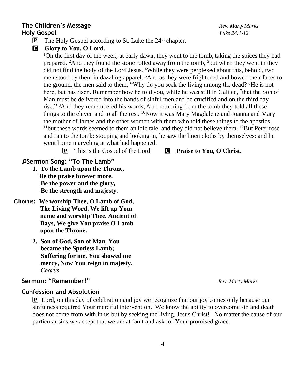### **The Children's Message** *Rev. Marty Marks* **Holy Gospel** *Luke 24:1-12*

- $\mathbf{P}$  The Holy Gospel according to St. Luke the 24<sup>th</sup> chapter.
- **G** Glory to You, O Lord.

<sup>1</sup>On the first day of the week, at early dawn, they went to the tomb, taking the spices they had prepared. <sup>2</sup>And they found the stone rolled away from the tomb, <sup>3</sup>but when they went in they did not find the body of the Lord Jesus. <sup>4</sup>While they were perplexed about this, behold, two men stood by them in dazzling apparel. <sup>5</sup>And as they were frightened and bowed their faces to the ground, the men said to them, "Why do you seek the living among the dead? <sup>6</sup>He is not here, but has risen. Remember how he told you, while he was still in Galilee, <sup>7</sup> that the Son of Man must be delivered into the hands of sinful men and be crucified and on the third day rise." <sup>8</sup>And they remembered his words, <sup>9</sup> and returning from the tomb they told all these things to the eleven and to all the rest. <sup>10</sup>Now it was Mary Magdalene and Joanna and Mary the mother of James and the other women with them who told these things to the apostles,  $11$ but these words seemed to them an idle tale, and they did not believe them.  $12$ But Peter rose and ran to the tomb; stooping and looking in, he saw the linen cloths by themselves; and he went home marveling at what had happened.

P This is the Gospel of the Lord C **Praise to You, O Christ.**

**♫Sermon Song: "To The Lamb"**

- **1. To the Lamb upon the Throne, Be the praise forever more. Be the power and the glory, Be the strength and majesty.**
- **Chorus: We worship Thee, O Lamb of God, The Living Word. We lift up Your name and worship Thee. Ancient of Days, We give You praise O Lamb upon the Throne.**
	- **2. Son of God, Son of Man, You became the Spotless Lamb; Suffering for me, You showed me mercy, Now You reign in majesty.** *Chorus*

### **Sermon: "Remember!"** *Rev. Marty Marks*

#### **Confession and Absolution**

 $\mathbb{P}$  Lord, on this day of celebration and joy we recognize that our joy comes only because our sinfulness required Your merciful intervention. We know the ability to overcome sin and death does not come from with in us but by seeking the living, Jesus Christ! No matter the cause of our particular sins we accept that we are at fault and ask for Your promised grace.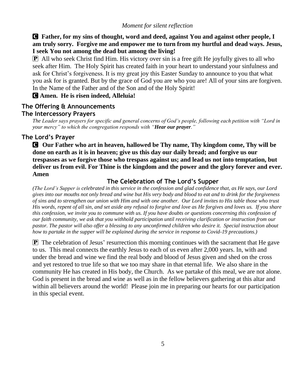### *Moment for silent reflection*

C **Father, for my sins of thought, word and deed, against You and against other people, I am truly sorry. Forgive me and empower me to turn from my hurtful and dead ways. Jesus, I seek You not among the dead but among the living!** 

 $\mathbb{P}$  All who seek Christ find Him. His victory over sin is a free gift He joyfully gives to all who seek after Him. The Holy Spirit has created faith in your heart to understand your sinfulness and ask for Christ's forgiveness. It is my great joy this Easter Sunday to announce to you that what you ask for is granted. But by the grace of God you are who you are! All of your sins are forgiven. In the Name of the Father and of the Son and of the Holy Spirit!

### C **Amen. He is risen indeed, Alleluia!**

### **The Offering & Announcements The Intercessory Prayers**

*The Leader says prayers for specific and general concerns of God's people, following each petition with "Lord in your mercy" to which the congregation responds with "Hear our prayer."* 

## **The Lord's Prayer**

C **Our Father who art in heaven, hallowed be Thy name, Thy kingdom come, Thy will be done on earth as it is in heaven; give us this day our daily bread; and forgive us our trespasses as we forgive those who trespass against us; and lead us not into temptation, but deliver us from evil. For Thine is the kingdom and the power and the glory forever and ever. Amen**

## **The Celebration of The Lord's Supper**

*(The Lord's Supper is celebrated in this service in the confession and glad confidence that, as He says, our Lord gives into our mouths not only bread and wine but His very body and blood to eat and to drink for the forgiveness of sins and to strengthen our union with Him and with one another. Our Lord invites to His table those who trust His words, repent of all sin, and set aside any refusal to forgive and love as He forgives and loves us. If you share this confession, we invite you to commune with us. If you have doubts or questions concerning this confession of our faith community, we ask that you withhold participation until receiving clarification or instruction from our pastor. The pastor will also offer a blessing to any unconfirmed children who desire it. Special instruction about how to partake in the supper will be explained during the service in response to Covid*-*19 precautions.)*

 $\mathbb{P}$  The celebration of Jesus' resurrection this morning continues with the sacrament that He gave to us. This meal connects the earthly Jesus to each of us even after 2,000 years. In, with and under the bread and wine we find the real body and blood of Jesus given and shed on the cross and yet restored to true life so that we too may share in that eternal life. We also share in the community He has created in His body, the Church. As we partake of this meal, we are not alone. God is present in the bread and wine as well as in the fellow believers gathering at this altar and within all believers around the world! Please join me in preparing our hearts for our participation in this special event.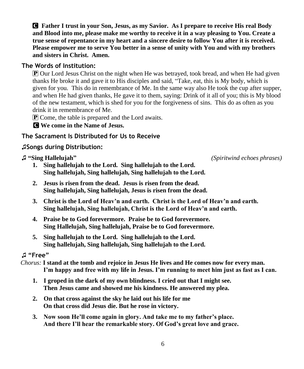C **Father I trust in your Son, Jesus, as my Savior. As I prepare to receive His real Body and Blood into me, please make me worthy to receive it in a way pleasing to You. Create a true sense of repentance in my heart and a sincere desire to follow You after it is received. Please empower me to serve You better in a sense of unity with You and with my brothers and sisters in Christ. Amen.**

## **The Words of Institution:**

 $\mathbb{P}$  Our Lord Jesus Christ on the night when He was betraved, took bread, and when He had given thanks He broke it and gave it to His disciples and said, "Take, eat, this is My body, which is given for you. This do in remembrance of Me. In the same way also He took the cup after supper, and when He had given thanks, He gave it to them, saying: Drink of it all of you; this is My blood of the new testament, which is shed for you for the forgiveness of sins. This do as often as you drink it in remembrance of Me.

 $\mathbf P$  Come, the table is prepared and the Lord awaits.

C **We come in the Name of Jesus.**

## **The Sacrament Is Distributed for Us to Receive**

## **♫Songs during Distribution:**

**♫ "Sing Hallelujah"** *(Spiritwind echoes phrases)*

- **1. Sing hallelujah to the Lord. Sing hallelujah to the Lord. Sing hallelujah, Sing hallelujah, Sing hallelujah to the Lord.**
- **2. Jesus is risen from the dead. Jesus is risen from the dead. Sing hallelujah, Sing hallelujah, Jesus is risen from the dead.**
- **3. Christ is the Lord of Heav'n and earth. Christ is the Lord of Heav'n and earth. Sing hallelujah, Sing hallelujah, Christ is the Lord of Heav'n and earth.**
- **4. Praise be to God forevermore. Praise be to God forevermore. Sing Hallelujah, Sing hallelujah, Praise be to God forevermore.**
- **5. Sing hallelujah to the Lord. Sing hallelujah to the Lord. Sing hallelujah, Sing hallelujah, Sing hallelujah to the Lord.**

## **♫ "Free"**

*Chorus:* **I stand at the tomb and rejoice in Jesus He lives and He comes now for every man. I'm happy and free with my life in Jesus. I'm running to meet him just as fast as I can.**

- **1. I groped in the dark of my own blindness. I cried out that I might see. Then Jesus came and showed me his kindness. He answered my plea.**
- **2. On that cross against the sky he laid out his life for me On that cross did Jesus die. But he rose in victory.**
- **3. Now soon He'll come again in glory. And take me to my father's place. And there I'll hear the remarkable story. Of God's great love and grace.**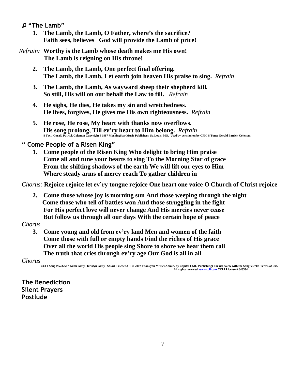**♫ "The Lamb"**

- **1. The Lamb, the Lamb, O Father, where's the sacrifice? Faith sees, believes God will provide the Lamb of price!**
- *Refrain:* **Worthy is the Lamb whose death makes me His own! The Lamb is reigning on His throne!**
	- **2. The Lamb, the Lamb, One perfect final offering. The Lamb, the Lamb, Let earth join heaven His praise to sing.** *Refrain*
	- **3. The Lamb, the Lamb, As wayward sheep their shepherd kill. So still, His will on our behalf the Law to fill.** *Refrain*
	- **4. He sighs, He dies, He takes my sin and wretchedness. He lives, forgives, He gives me His own righteousness.** *Refrain*
	- **5. He rose, He rose, My heart with thanks now overflows. His song prolong, Till ev'ry heart to Him belong.** *Refrain* **8 Text: Gerald Patrick Coleman Copyright 8 1987 MorningStar Music Publishers, St. Louis, MO. Used by permission by CPH. 8 Tune: Gerald Patrick Coleman**

**" Come People of a Risen King"**

**1. Come people of the Risen King Who delight to bring Him praise Come all and tune your hearts to sing To the Morning Star of grace From the shifting shadows of the earth We will lift our eyes to Him Where steady arms of mercy reach To gather children in**

*Chorus:* **Rejoice rejoice let ev'ry tongue rejoice One heart one voice O Church of Christ rejoice**

**2. Come those whose joy is morning sun And those weeping through the night Come those who tell of battles won And those struggling in the fight For His perfect love will never change And His mercies never cease But follow us through all our days With the certain hope of peace**

*Chorus*

**3. Come young and old from ev'ry land Men and women of the faith Come those with full or empty hands Find the riches of His grace Over all the world His people sing Shore to shore we hear them call The truth that cries through ev'ry age Our God is all in all**

*Chorus*

**CCLI Song # 5232617 Keith Getty | Kristyn Getty | Stuart Townend © 2007 Thankyou Music (Admin. by Capitol CMG Publishing) For use solely with the SongSelect® Terms of Use. All rights reserved. [www.ccli.com](http://www.ccli.com/) CCLI License # 843534**

**The Benediction Silent Prayers Postlude**